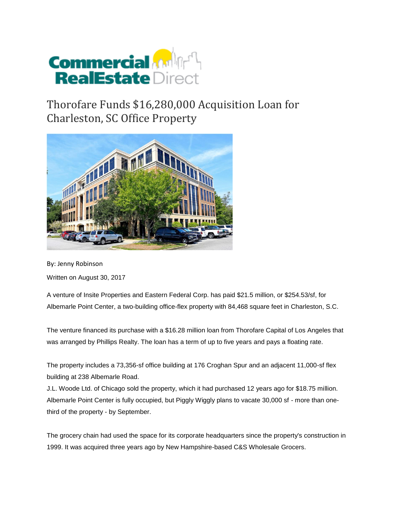

## Thorofare Funds \$16,280,000 Acquisition Loan for Charleston, SC Office Property



By: Jenny Robinson

Written on August 30, 2017

A venture of Insite Properties and Eastern Federal Corp. has paid \$21.5 million, or \$254.53/sf, for Albemarle Point Center, a two-building office-flex property with 84,468 square feet in Charleston, S.C.

The venture financed its purchase with a \$16.28 million loan from Thorofare Capital of Los Angeles that was arranged by Phillips Realty. The loan has a term of up to five years and pays a floating rate.

The property includes a 73,356-sf office building at 176 Croghan Spur and an adjacent 11,000-sf flex building at 238 Albemarle Road.

J.L. Woode Ltd. of Chicago sold the property, which it had purchased 12 years ago for \$18.75 million. Albemarle Point Center is fully occupied, but Piggly Wiggly plans to vacate 30,000 sf - more than onethird of the property - by September.

The grocery chain had used the space for its corporate headquarters since the property's construction in 1999. It was acquired three years ago by New Hampshire-based C&S Wholesale Grocers.